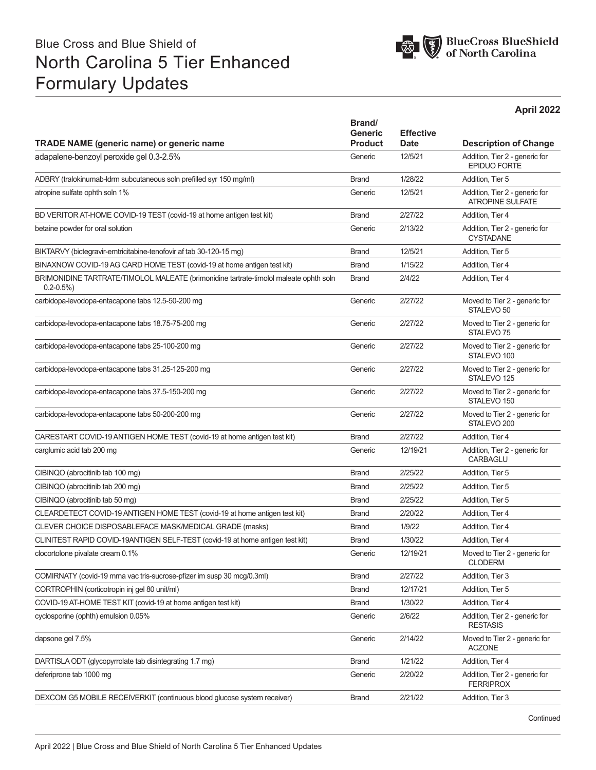# Blue Cross and Blue Shield of North Carolina 5 Tier Enhanced Formulary Updates



|                                                                                                         |                                            |                                 | April 2022                                                |  |
|---------------------------------------------------------------------------------------------------------|--------------------------------------------|---------------------------------|-----------------------------------------------------------|--|
| <b>TRADE NAME (generic name) or generic name</b>                                                        | Brand/<br><b>Generic</b><br><b>Product</b> | <b>Effective</b><br><b>Date</b> | <b>Description of Change</b>                              |  |
| adapalene-benzoyl peroxide gel 0.3-2.5%                                                                 | Generic                                    | 12/5/21                         | Addition, Tier 2 - generic for<br><b>EPIDUO FORTE</b>     |  |
| ADBRY (tralokinumab-Idrm subcutaneous soln prefilled syr 150 mg/ml)                                     | <b>Brand</b>                               | 1/28/22                         | Addition, Tier 5                                          |  |
| atropine sulfate ophth soln 1%                                                                          | Generic                                    | 12/5/21                         | Addition, Tier 2 - generic for<br><b>ATROPINE SULFATE</b> |  |
| BD VERITOR AT-HOME COVID-19 TEST (covid-19 at home antigen test kit)                                    | <b>Brand</b>                               | 2/27/22                         | Addition, Tier 4                                          |  |
| betaine powder for oral solution                                                                        | Generic                                    | 2/13/22                         | Addition, Tier 2 - generic for<br><b>CYSTADANE</b>        |  |
| BIKTARVY (bictegravir-emtricitabine-tenofovir af tab 30-120-15 mg)                                      | <b>Brand</b>                               | 12/5/21                         | Addition, Tier 5                                          |  |
| BINAXNOW COVID-19 AG CARD HOME TEST (covid-19 at home antigen test kit)                                 | <b>Brand</b>                               | 1/15/22                         | Addition, Tier 4                                          |  |
| BRIMONIDINE TARTRATE/TIMOLOL MALEATE (brimonidine tartrate-timolol maleate ophth soln<br>$0.2 - 0.5\%)$ | <b>Brand</b>                               | 2/4/22                          | Addition, Tier 4                                          |  |
| carbidopa-levodopa-entacapone tabs 12.5-50-200 mg                                                       | Generic                                    | 2/27/22                         | Moved to Tier 2 - generic for<br>STALEVO <sub>50</sub>    |  |
| carbidopa-levodopa-entacapone tabs 18.75-75-200 mg                                                      | Generic                                    | 2/27/22                         | Moved to Tier 2 - generic for<br>STALEVO <sub>75</sub>    |  |
| carbidopa-levodopa-entacapone tabs 25-100-200 mg                                                        | Generic                                    | 2/27/22                         | Moved to Tier 2 - generic for<br>STALEVO 100              |  |
| carbidopa-levodopa-entacapone tabs 31.25-125-200 mg                                                     | Generic                                    | 2/27/22                         | Moved to Tier 2 - generic for<br>STALEVO <sub>125</sub>   |  |
| carbidopa-levodopa-entacapone tabs 37.5-150-200 mg                                                      | Generic                                    | 2/27/22                         | Moved to Tier 2 - generic for<br>STALEVO 150              |  |
| carbidopa-levodopa-entacapone tabs 50-200-200 mg                                                        | Generic                                    | 2/27/22                         | Moved to Tier 2 - generic for<br>STALEVO <sub>200</sub>   |  |
| CARESTART COVID-19 ANTIGEN HOME TEST (covid-19 at home antigen test kit)                                | <b>Brand</b>                               | 2/27/22                         | Addition, Tier 4                                          |  |
| carglumic acid tab 200 mg                                                                               | Generic                                    | 12/19/21                        | Addition, Tier 2 - generic for<br><b>CARBAGLU</b>         |  |
| CIBINQO (abrocitinib tab 100 mg)                                                                        | <b>Brand</b>                               | 2/25/22                         | Addition, Tier 5                                          |  |
| CIBINQO (abrocitinib tab 200 mg)                                                                        | <b>Brand</b>                               | 2/25/22                         | Addition, Tier 5                                          |  |
| CIBINQO (abrocitinib tab 50 mg)                                                                         | <b>Brand</b>                               | 2/25/22                         | Addition, Tier 5                                          |  |
| CLEARDETECT COVID-19 ANTIGEN HOME TEST (covid-19 at home antigen test kit)                              | <b>Brand</b>                               | 2/20/22                         | Addition, Tier 4                                          |  |
| CLEVER CHOICE DISPOSABLEFACE MASK/MEDICAL GRADE (masks)                                                 | <b>Brand</b>                               | 1/9/22                          | Addition, Tier 4                                          |  |
| CLINITEST RAPID COVID-19ANTIGEN SELF-TEST (covid-19 at home antigen test kit)                           | <b>Brand</b>                               | 1/30/22                         | Addition, Tier 4                                          |  |
| clocortolone pivalate cream 0.1%                                                                        | Generic                                    | 12/19/21                        | Moved to Tier 2 - generic for<br><b>CLODERM</b>           |  |
| COMIRNATY (covid-19 mrna vac tris-sucrose-pfizer im susp 30 mcq/0.3ml)                                  | <b>Brand</b>                               | 2/27/22                         | Addition, Tier 3                                          |  |
| CORTROPHIN (corticotropin inj gel 80 unit/ml)                                                           | <b>Brand</b>                               | 12/17/21                        | Addition, Tier 5                                          |  |
| COVID-19 AT-HOME TEST KIT (covid-19 at home antigen test kit)                                           | <b>Brand</b>                               | 1/30/22                         | Addition, Tier 4                                          |  |
| cyclosporine (ophth) emulsion 0.05%                                                                     | Generic                                    | 2/6/22                          | Addition, Tier 2 - generic for<br><b>RESTASIS</b>         |  |
| dapsone gel 7.5%                                                                                        | Generic                                    | 2/14/22                         | Moved to Tier 2 - generic for<br><b>ACZONE</b>            |  |
| DARTISLA ODT (glycopyrrolate tab disintegrating 1.7 mg)                                                 | <b>Brand</b>                               | 1/21/22                         | Addition, Tier 4                                          |  |
| deferiprone tab 1000 mg                                                                                 | Generic                                    | 2/20/22                         | Addition, Tier 2 - generic for<br><b>FERRIPROX</b>        |  |
| DEXCOM G5 MOBILE RECEIVERKIT (continuous blood glucose system receiver)                                 | <b>Brand</b>                               | 2/21/22                         | Addition, Tier 3                                          |  |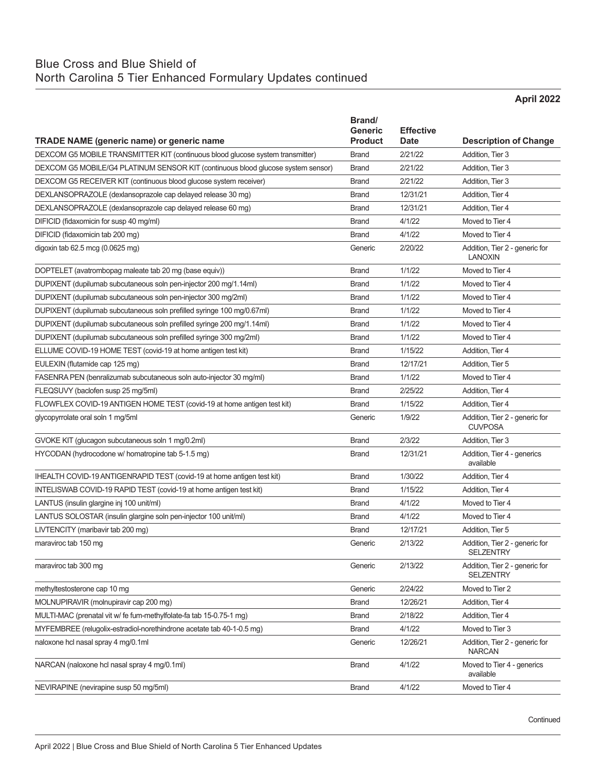### Blue Cross and Blue Shield of North Carolina 5 Tier Enhanced Formulary Updates continued

**April 2022**

| <b>TRADE NAME (generic name) or generic name</b>                                 | Brand/<br>Generic<br><b>Product</b> | <b>Effective</b><br><b>Date</b> | <b>Description of Change</b>                       |
|----------------------------------------------------------------------------------|-------------------------------------|---------------------------------|----------------------------------------------------|
| DEXCOM G5 MOBILE TRANSMITTER KIT (continuous blood glucose system transmitter)   | <b>Brand</b>                        | 2/21/22                         | Addition, Tier 3                                   |
| DEXCOM G5 MOBILE/G4 PLATINUM SENSOR KIT (continuous blood glucose system sensor) | <b>Brand</b>                        | 2/21/22                         | Addition, Tier 3                                   |
| DEXCOM G5 RECEIVER KIT (continuous blood glucose system receiver)                | <b>Brand</b>                        | 2/21/22                         | Addition, Tier 3                                   |
| DEXLANSOPRAZOLE (dexlansoprazole cap delayed release 30 mg)                      | <b>Brand</b>                        | 12/31/21                        | Addition, Tier 4                                   |
| DEXLANSOPRAZOLE (dexlansoprazole cap delayed release 60 mg)                      | <b>Brand</b>                        | 12/31/21                        | Addition, Tier 4                                   |
| DIFICID (fidaxomicin for susp 40 mg/ml)                                          | <b>Brand</b>                        | 4/1/22                          | Moved to Tier 4                                    |
| DIFICID (fidaxomicin tab 200 mg)                                                 | <b>Brand</b>                        | 4/1/22                          | Moved to Tier 4                                    |
| digoxin tab 62.5 mcg (0.0625 mg)                                                 | Generic                             | 2/20/22                         | Addition, Tier 2 - generic for<br><b>LANOXIN</b>   |
| DOPTELET (avatrombopag maleate tab 20 mg (base equiv))                           | <b>Brand</b>                        | 1/1/22                          | Moved to Tier 4                                    |
| DUPIXENT (dupilumab subcutaneous soln pen-injector 200 mg/1.14ml)                | <b>Brand</b>                        | 1/1/22                          | Moved to Tier 4                                    |
| DUPIXENT (dupilumab subcutaneous soln pen-injector 300 mg/2ml)                   | <b>Brand</b>                        | 1/1/22                          | Moved to Tier 4                                    |
| DUPIXENT (dupilumab subcutaneous soln prefilled syringe 100 mg/0.67ml)           | <b>Brand</b>                        | 1/1/22                          | Moved to Tier 4                                    |
| DUPIXENT (dupilumab subcutaneous soln prefilled syringe 200 mg/1.14ml)           | <b>Brand</b>                        | 1/1/22                          | Moved to Tier 4                                    |
| DUPIXENT (dupilumab subcutaneous soln prefilled syringe 300 mg/2ml)              | <b>Brand</b>                        | 1/1/22                          | Moved to Tier 4                                    |
| ELLUME COVID-19 HOME TEST (covid-19 at home antigen test kit)                    | <b>Brand</b>                        | 1/15/22                         | Addition, Tier 4                                   |
| EULEXIN (flutamide cap 125 mg)                                                   | <b>Brand</b>                        | 12/17/21                        | Addition, Tier 5                                   |
| FASENRA PEN (benralizumab subcutaneous soln auto-injector 30 mg/ml)              | <b>Brand</b>                        | 1/1/22                          | Moved to Tier 4                                    |
| FLEQSUVY (baclofen susp 25 mg/5ml)                                               | <b>Brand</b>                        | 2/25/22                         | Addition, Tier 4                                   |
| FLOWFLEX COVID-19 ANTIGEN HOME TEST (covid-19 at home antigen test kit)          | <b>Brand</b>                        | 1/15/22                         | Addition, Tier 4                                   |
| glycopyrrolate oral soln 1 mg/5ml                                                | Generic                             | 1/9/22                          | Addition, Tier 2 - generic for<br><b>CUVPOSA</b>   |
| GVOKE KIT (glucagon subcutaneous soln 1 mg/0.2ml)                                | <b>Brand</b>                        | 2/3/22                          | Addition, Tier 3                                   |
| HYCODAN (hydrocodone w/ homatropine tab 5-1.5 mg)                                | <b>Brand</b>                        | 12/31/21                        | Addition, Tier 4 - generics<br>available           |
| IHEALTH COVID-19 ANTIGENRAPID TEST (covid-19 at home antigen test kit)           | <b>Brand</b>                        | 1/30/22                         | Addition, Tier 4                                   |
| INTELISWAB COVID-19 RAPID TEST (covid-19 at home antigen test kit)               | <b>Brand</b>                        | 1/15/22                         | Addition, Tier 4                                   |
| LANTUS (insulin glargine inj 100 unit/ml)                                        | <b>Brand</b>                        | 4/1/22                          | Moved to Tier 4                                    |
| LANTUS SOLOSTAR (insulin glargine soln pen-injector 100 unit/ml)                 | <b>Brand</b>                        | 4/1/22                          | Moved to Tier 4                                    |
| LIVTENCITY (maribavir tab 200 mg)                                                | <b>Brand</b>                        | 12/17/21                        | Addition, Tier 5                                   |
| maraviroc tab 150 mg                                                             | Generic                             | 2/13/22                         | Addition, Tier 2 - generic for<br><b>SELZENTRY</b> |
| maraviroc tab 300 mg                                                             | Generic                             | 2/13/22                         | Addition, Tier 2 - generic for<br><b>SELZENTRY</b> |
| methyltestosterone cap 10 mg                                                     | Generic                             | 2/24/22                         | Moved to Tier 2                                    |
| MOLNUPIRAVIR (molnupiravir cap 200 mg)                                           | <b>Brand</b>                        | 12/26/21                        | Addition, Tier 4                                   |
| MULTI-MAC (prenatal vit w/ fe fum-methylfolate-fa tab 15-0.75-1 mg)              | <b>Brand</b>                        | 2/18/22                         | Addition, Tier 4                                   |
| MYFEMBREE (relugolix-estradiol-norethindrone acetate tab 40-1-0.5 mg)            | <b>Brand</b>                        | 4/1/22                          | Moved to Tier 3                                    |
| naloxone hcl nasal spray 4 mg/0.1ml                                              | Generic                             | 12/26/21                        | Addition, Tier 2 - generic for<br><b>NARCAN</b>    |
| NARCAN (naloxone hcl nasal spray 4 mg/0.1ml)                                     | <b>Brand</b>                        | 4/1/22                          | Moved to Tier 4 - generics<br>available            |
| NEVIRAPINE (nevirapine susp 50 mg/5ml)                                           | <b>Brand</b>                        | 4/1/22                          | Moved to Tier 4                                    |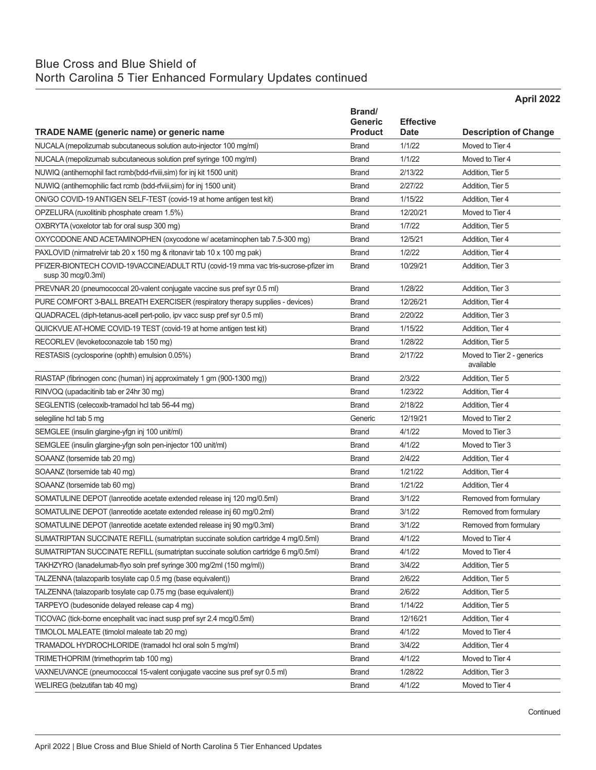## Blue Cross and Blue Shield of

## North Carolina 5 Tier Enhanced Formulary Updates continued

|                                                                                                                 |                                  |                       | April 2022                                      |
|-----------------------------------------------------------------------------------------------------------------|----------------------------------|-----------------------|-------------------------------------------------|
|                                                                                                                 | Brand/                           |                       |                                                 |
|                                                                                                                 | <b>Generic</b><br><b>Product</b> | <b>Effective</b>      |                                                 |
| TRADE NAME (generic name) or generic name<br>NUCALA (mepolizumab subcutaneous solution auto-injector 100 mg/ml) | <b>Brand</b>                     | <b>Date</b><br>1/1/22 | <b>Description of Change</b><br>Moved to Tier 4 |
| NUCALA (mepolizumab subcutaneous solution pref syringe 100 mg/ml)                                               | <b>Brand</b>                     | 1/1/22                | Moved to Tier 4                                 |
|                                                                                                                 |                                  |                       |                                                 |
| NUWIQ (antihemophil fact rcmb(bdd-rfviii, sim) for inj kit 1500 unit)                                           | <b>Brand</b>                     | 2/13/22               | Addition, Tier 5                                |
| NUWIQ (antihemophilic fact rcmb (bdd-rfviii,sim) for inj 1500 unit)                                             | <b>Brand</b>                     | 2/27/22               | Addition, Tier 5                                |
| ON/GO COVID-19 ANTIGEN SELF-TEST (covid-19 at home antigen test kit)                                            | <b>Brand</b>                     | 1/15/22               | Addition, Tier 4                                |
| OPZELURA (ruxolitinib phosphate cream 1.5%)                                                                     | <b>Brand</b>                     | 12/20/21              | Moved to Tier 4                                 |
| OXBRYTA (voxelotor tab for oral susp 300 mg)                                                                    | <b>Brand</b>                     | 1/7/22                | Addition, Tier 5                                |
| OXYCODONE AND ACETAMINOPHEN (oxycodone w/ acetaminophen tab 7.5-300 mg)                                         | <b>Brand</b>                     | 12/5/21               | Addition, Tier 4                                |
| PAXLOVID (nirmatrelvir tab 20 x 150 mg & ritonavir tab 10 x 100 mg pak)                                         | <b>Brand</b>                     | 1/2/22                | Addition, Tier 4                                |
| PFIZER-BIONTECH COVID-19VACCINE/ADULT RTU (covid-19 mrna vac tris-sucrose-pfizer im<br>susp 30 mcg/0.3ml)       | <b>Brand</b>                     | 10/29/21              | Addition, Tier 3                                |
| PREVNAR 20 (pneumococcal 20-valent conjugate vaccine sus pref syr 0.5 ml)                                       | <b>Brand</b>                     | 1/28/22               | Addition, Tier 3                                |
| PURE COMFORT 3-BALL BREATH EXERCISER (respiratory therapy supplies - devices)                                   | <b>Brand</b>                     | 12/26/21              | Addition, Tier 4                                |
| QUADRACEL (diph-tetanus-acell pert-polio, ipv vacc susp pref syr 0.5 ml)                                        | <b>Brand</b>                     | 2/20/22               | Addition, Tier 3                                |
| QUICKVUE AT-HOME COVID-19 TEST (covid-19 at home antigen test kit)                                              | <b>Brand</b>                     | 1/15/22               | Addition, Tier 4                                |
| RECORLEV (levoketoconazole tab 150 mg)                                                                          | <b>Brand</b>                     | 1/28/22               | Addition, Tier 5                                |
| RESTASIS (cyclosporine (ophth) emulsion 0.05%)                                                                  | <b>Brand</b>                     | 2/17/22               | Moved to Tier 2 - generics<br>available         |
| RIASTAP (fibrinogen conc (human) inj approximately 1 gm (900-1300 mg))                                          | <b>Brand</b>                     | 2/3/22                | Addition, Tier 5                                |
| RINVOQ (upadacitinib tab er 24hr 30 mg)                                                                         | <b>Brand</b>                     | 1/23/22               | Addition, Tier 4                                |
| SEGLENTIS (celecoxib-tramadol hcl tab 56-44 mg)                                                                 | <b>Brand</b>                     | 2/18/22               | Addition, Tier 4                                |
| selegiline hcl tab 5 mg                                                                                         | Generic                          | 12/19/21              | Moved to Tier 2                                 |
| SEMGLEE (insulin glargine-yfgn inj 100 unit/ml)                                                                 | <b>Brand</b>                     | 4/1/22                | Moved to Tier 3                                 |
| SEMGLEE (insulin glargine-yfgn soln pen-injector 100 unit/ml)                                                   | <b>Brand</b>                     | 4/1/22                | Moved to Tier 3                                 |
| SOAANZ (torsemide tab 20 mg)                                                                                    | <b>Brand</b>                     | 2/4/22                | Addition, Tier 4                                |
| SOAANZ (torsemide tab 40 mg)                                                                                    | <b>Brand</b>                     | 1/21/22               | Addition, Tier 4                                |
| SOAANZ (torsemide tab 60 mg)                                                                                    | <b>Brand</b>                     | 1/21/22               | Addition, Tier 4                                |
| SOMATULINE DEPOT (lanreotide acetate extended release inj 120 mg/0.5ml)                                         | <b>Brand</b>                     | 3/1/22                | Removed from formulary                          |
| SOMATULINE DEPOT (lanreotide acetate extended release inj 60 mg/0.2ml)                                          | <b>Brand</b>                     | 3/1/22                | Removed from formulary                          |
| SOMATULINE DEPOT (lanreotide acetate extended release inj 90 mg/0.3ml)                                          | <b>Brand</b>                     | 3/1/22                | Removed from formulary                          |
| SUMATRIPTAN SUCCINATE REFILL (sumatriptan succinate solution cartridge 4 mg/0.5ml)                              | <b>Brand</b>                     | 4/1/22                | Moved to Tier 4                                 |
| SUMATRIPTAN SUCCINATE REFILL (sumatriptan succinate solution cartridge 6 mg/0.5ml)                              | <b>Brand</b>                     | 4/1/22                | Moved to Tier 4                                 |
| TAKHZYRO (lanadelumab-flyo soln pref syringe 300 mg/2ml (150 mg/ml))                                            | <b>Brand</b>                     | 3/4/22                | Addition, Tier 5                                |
| TALZENNA (talazoparib tosylate cap 0.5 mg (base equivalent))                                                    | <b>Brand</b>                     | 2/6/22                | Addition, Tier 5                                |
| TALZENNA (talazoparib tosylate cap 0.75 mg (base equivalent))                                                   | <b>Brand</b>                     | 2/6/22                | Addition, Tier 5                                |
| TARPEYO (budesonide delayed release cap 4 mg)                                                                   | <b>Brand</b>                     | 1/14/22               | Addition, Tier 5                                |
| TICOVAC (tick-borne encephalit vac inact susp pref syr 2.4 mcg/0.5ml)                                           | <b>Brand</b>                     | 12/16/21              | Addition, Tier 4                                |
| TIMOLOL MALEATE (timolol maleate tab 20 mg)                                                                     | <b>Brand</b>                     | 4/1/22                | Moved to Tier 4                                 |
| TRAMADOL HYDROCHLORIDE (tramadol hcl oral soln 5 mg/ml)                                                         | <b>Brand</b>                     | 3/4/22                | Addition, Tier 4                                |
| TRIMETHOPRIM (trimethoprim tab 100 mg)                                                                          | <b>Brand</b>                     | 4/1/22                | Moved to Tier 4                                 |
| VAXNEUVANCE (pneumococcal 15-valent conjugate vaccine sus pref syr 0.5 ml)                                      | <b>Brand</b>                     | 1/28/22               | Addition, Tier 3                                |
| WELIREG (belzutifan tab 40 mg)                                                                                  | <b>Brand</b>                     | 4/1/22                | Moved to Tier 4                                 |
|                                                                                                                 |                                  |                       |                                                 |